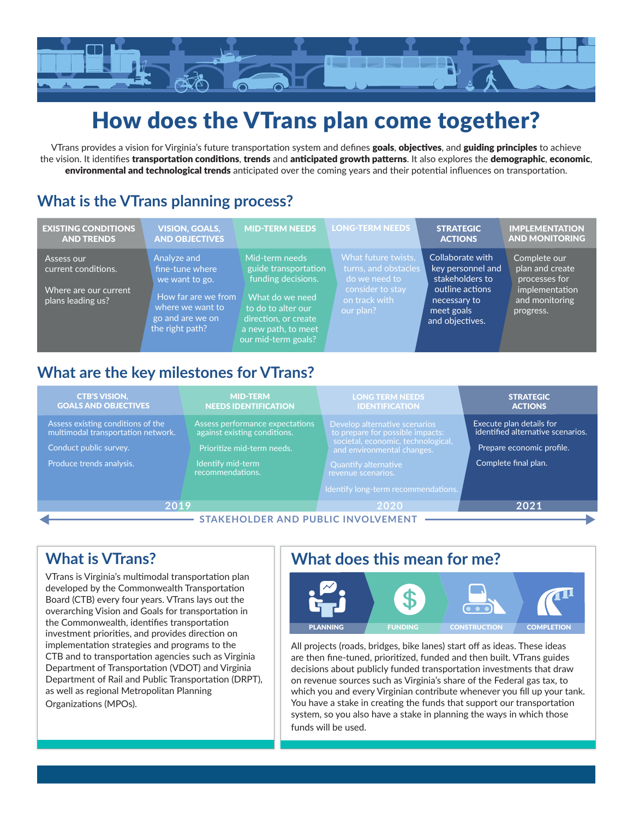

# How does the VTrans plan come together?

VTrans provides a vision for Virginia's future transportation system and defines goals, objectives, and guiding principles to achieve the vision. It identifies transportation conditions, trends and anticipated growth patterns. It also explores the demographic, economic, environmental and technological trends anticipated over the coming years and their potential influences on transportation.

## **What is the VTrans planning process?**

| <b>EXISTING CONDITIONS</b><br><b>AND TRENDS</b>                                 | <b>VISION, GOALS,</b><br><b>AND OBJECTIVES</b>                                                                                     | <b>MID-TERM NEEDS</b>                                                                                                                                                       | <b>LONG-TERM NEEDS</b>                                                                                         | <b>STRATEGIC</b><br><b>ACTIONS</b>                                                                                           | <b>IMPLEMENTATION</b><br><b>AND MONITORING</b>                                                    |
|---------------------------------------------------------------------------------|------------------------------------------------------------------------------------------------------------------------------------|-----------------------------------------------------------------------------------------------------------------------------------------------------------------------------|----------------------------------------------------------------------------------------------------------------|------------------------------------------------------------------------------------------------------------------------------|---------------------------------------------------------------------------------------------------|
| Assess our<br>current conditions.<br>Where are our current<br>plans leading us? | Analyze and<br>fine-tune where<br>we want to go.<br>How far are we from<br>where we want to<br>go and are we on<br>the right path? | Mid-term needs<br>guide transportation<br>funding decisions.<br>What do we need<br>to do to alter our<br>direction, or create<br>a new path, to meet<br>our mid-term goals? | What future twists.<br>turns, and obstacles<br>do we need to<br>consider to stay<br>on track with<br>our plan? | Collaborate with<br>key personnel and<br>stakeholders to<br>outline actions<br>necessary to<br>meet goals<br>and objectives. | Complete our<br>plan and create<br>processes for<br>implementation<br>and monitoring<br>progress. |

## **What are the key milestones for VTrans?**

| <b>CTB'S VISION,</b><br><b>GOALS AND OBJECTIVES</b>                     | <b>MID-TERM</b><br><b>NEEDS IDENTIFICATION</b>                  | <b>LONG TERM NEEDS</b><br><b>IDENTIFICATION</b>                   | <b>STRATEGIC</b><br><b>ACTIONS</b>                            |  |  |
|-------------------------------------------------------------------------|-----------------------------------------------------------------|-------------------------------------------------------------------|---------------------------------------------------------------|--|--|
| Assess existing conditions of the<br>multimodal transportation network. | Assess performance expectations<br>against existing conditions. | Develop alternative scenarios<br>to prepare for possible impacts: | Execute plan details for<br>identified alternative scenarios. |  |  |
| Prioritize mid-term needs.<br>Conduct public survey.                    |                                                                 | societal, economic, technological,<br>and environmental changes.  | Prepare economic profile.                                     |  |  |
| Produce trends analysis.                                                | Identify mid-term<br>recommendations.                           | <b>Quantify alternative</b><br>revenue scenarios.                 | Complete final plan.                                          |  |  |
|                                                                         |                                                                 | Identify long-term recommendations.                               |                                                               |  |  |
| 2019                                                                    |                                                                 | 2020                                                              | 2021                                                          |  |  |
| <b>STAKEHOLDER AND PUBLIC INVOLVEMENT</b>                               |                                                                 |                                                                   |                                                               |  |  |

### **What is VTrans?**

VTrans is Virginia's multimodal transportation plan developed by the Commonwealth Transportation Board (CTB) every four years. VTrans lays out the overarching Vision and Goals for transportation in the Commonwealth, identifies transportation investment priorities, and provides direction on implementation strategies and programs to the CTB and to transportation agencies such as Virginia Department of Transportation (VDOT) and Virginia Department of Rail and Public Transportation (DRPT), as well as regional Metropolitan Planning Organizations (MPOs).

## **What does this mean for me?**



All projects (roads, bridges, bike lanes) start off as ideas. These ideas are then fine-tuned, prioritized, funded and then built. VTrans guides decisions about publicly funded transportation investments that draw on revenue sources such as Virginia's share of the Federal gas tax, to which you and every Virginian contribute whenever you fill up your tank. You have a stake in creating the funds that support our transportation system, so you also have a stake in planning the ways in which those funds will be used.